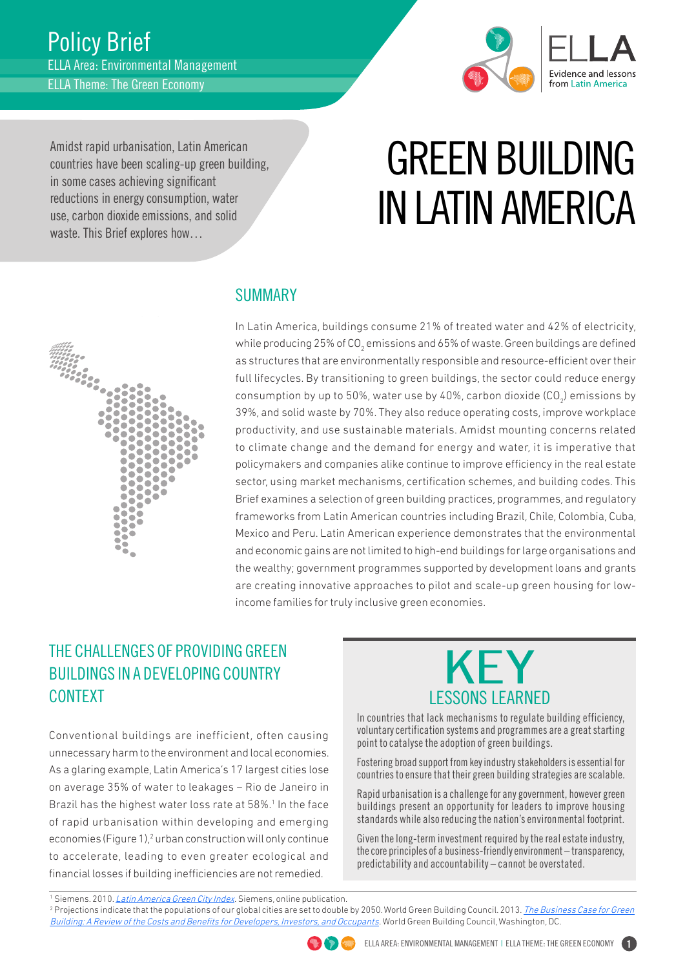

Amidst rapid urbanisation, Latin American countries have been scaling-up green building, in some cases achieving significant reductions in energy consumption, water use, carbon dioxide emissions, and solid waste. This Brief explores how…

# GREEN BUILDING IN LATIN AMERICA



## SUMMARY

In Latin America, buildings consume 21% of treated water and 42% of electricity, while producing 25% of CO $_2$  emissions and 65% of waste. Green buildings are defined as structures that are environmentally responsible and resource-efficient over their full lifecycles. By transitioning to green buildings, the sector could reduce energy consumption by up to 50%, water use by 40%, carbon dioxide (CO $_{\textrm{\tiny{2}}}$ ) emissions by 39%, and solid waste by 70%. They also reduce operating costs, improve workplace productivity, and use sustainable materials. Amidst mounting concerns related to climate change and the demand for energy and water, it is imperative that policymakers and companies alike continue to improve efficiency in the real estate sector, using market mechanisms, certification schemes, and building codes. This Brief examines a selection of green building practices, programmes, and regulatory frameworks from Latin American countries including Brazil, Chile, Colombia, Cuba, Mexico and Peru. Latin American experience demonstrates that the environmental and economic gains are not limited to high-end buildings for large organisations and the wealthy; government programmes supported by development loans and grants are creating innovative approaches to pilot and scale-up green housing for lowincome families for truly inclusive green economies.

# THE CHALLENGES OF PROVIDING GREEN BUILDINGS IN A DEVELOPING COUNTRY CONTEXT

Conventional buildings are inefficient, often causing unnecessary harm to the environment and local economies. As a glaring example, Latin America's 17 largest cities lose on average 35% of water to leakages – Rio de Janeiro in Brazil has the highest water loss rate at 58%.<sup>1</sup> In the face of rapid urbanisation within developing and emerging economies (Figure 1),<sup>2</sup> urban construction will only continue to accelerate, leading to even greater ecological and financial losses if building inefficiencies are not remedied.



In countries that lack mechanisms to regulate building efficiency, voluntary certification systems and programmes are a great starting point to catalyse the adoption of green buildings.

Fostering broad support from key industry stakeholders is essential for countries to ensure that their green building strategies are scalable.

Rapid urbanisation is a challenge for any government, however green buildings present an opportunity for leaders to improve housing standards while also reducing the nation's environmental footprint.

Given the long-term investment required by the real estate industry, the core principles of a business-friendly environment – transparency, predictability and accountability – cannot be overstated.

<sup>1</sup>Siemens. 2010. <u>Latin America Green City Index</u>. Siemens, online publication.<br><sup>2</sup> Projections indicate that the nonulations of our global cities are set to double

<sup>&</sup>lt;sup>2</sup> Projections indicate that the populations of our global cities are set to double by 2050. World Green Building Council. 2013. *[The Business Case for Green](http://www.worldgbc.org/files/1513/6608/0674/Business_Case_For_Green_Building_Report_WEB_2013-04-11.pdf)* [Building: A Review of the Costs and Benefits for Developers, Investors, and Occupants.](http://www.worldgbc.org/files/1513/6608/0674/Business_Case_For_Green_Building_Report_WEB_2013-04-11.pdf) World Green Building Council, Washington, DC.

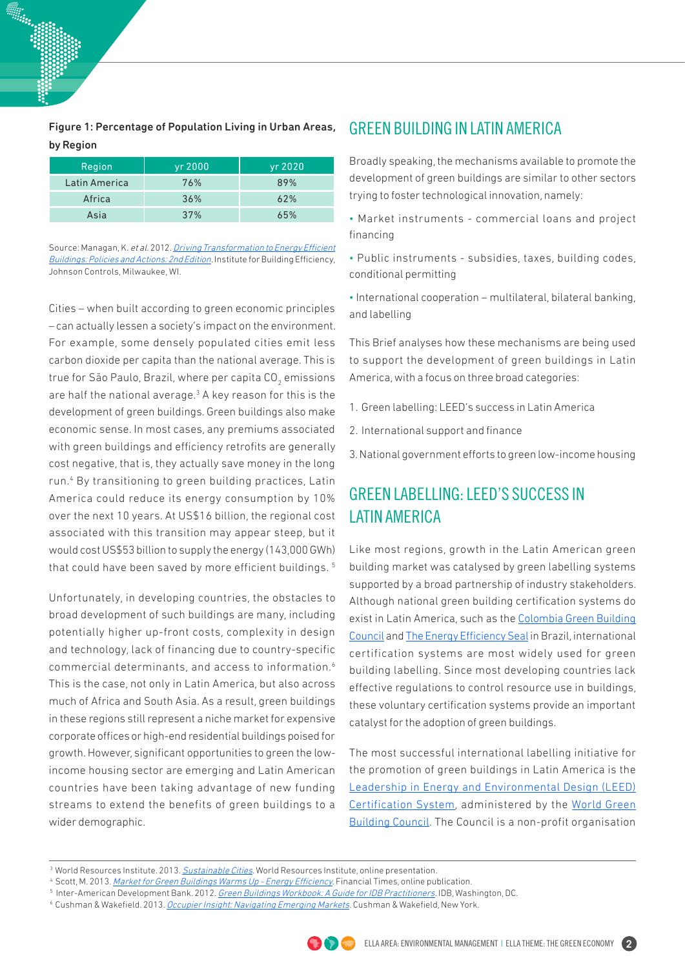Figure 1: Percentage of Population Living in Urban Areas, by Region

| Region        | yr 2000         | yr 2020 |
|---------------|-----------------|---------|
| Latin America | 76%             | 89%     |
| Africa        | 36%             | 62%     |
| Asia          | 37 <sup>%</sup> | 65%     |

Source: Managan, K. et al. 2012. *[Driving Transformation to Energy Efficient](http://www.institutebe.com/energy-policy/Driving-Transformation-Energy-Efficient-Buildings2.aspx)* [Buildings: Policies and Actions: 2nd Edition.](http://www.institutebe.com/energy-policy/Driving-Transformation-Energy-Efficient-Buildings2.aspx) Institute for Building Efficiency, Johnson Controls, Milwaukee, WI.

Cities – when built according to green economic principles – can actually lessen a society's impact on the environment. For example, some densely populated cities emit less carbon dioxide per capita than the national average. This is true for São Paulo, Brazil, where per capita CO $_2^{}$  emissions are half the national average. $3$  A key reason for this is the development of green buildings. Green buildings also make economic sense. In most cases, any premiums associated with green buildings and efficiency retrofits are generally cost negative, that is, they actually save money in the long run.<sup>4</sup> By transitioning to green building practices, Latin America could reduce its energy consumption by 10% over the next 10 years. At US\$16 billion, the regional cost associated with this transition may appear steep, but it would cost US\$53 billion to supply the energy (143,000 GWh) that could have been saved by more efficient buildings. 5

Unfortunately, in developing countries, the obstacles to broad development of such buildings are many, including potentially higher up-front costs, complexity in design and technology, lack of financing due to country-specific commercial determinants, and access to information.6 This is the case, not only in Latin America, but also across much of Africa and South Asia. As a result, green buildings in these regions still represent a niche market for expensive corporate offices or high-end residential buildings poised for growth. However, significant opportunities to green the lowincome housing sector are emerging and Latin American countries have been taking advantage of new funding streams to extend the benefits of green buildings to a wider demographic.

## GREEN BUILDING IN LATIN AMERICA

Broadly speaking, the mechanisms available to promote the development of green buildings are similar to other sectors trying to foster technological innovation, namely:

- Market instruments commercial loans and project financing
- Public instruments subsidies, taxes, building codes, conditional permitting
- International cooperation multilateral, bilateral banking, and labelling

This Brief analyses how these mechanisms are being used to support the development of green buildings in Latin America, with a focus on three broad categories:

- 1. Green labelling: LEED's success in Latin America
- 2. International support and finance
- 3. National government efforts to green low-income housing

# GREEN LABELLING: LEED'S SUCCESS IN LATIN AMERICA

Like most regions, growth in the Latin American green building market was catalysed by green labelling systems supported by a broad partnership of industry stakeholders. Although national green building certification systems do exist in Latin America, such as the [Colombia Green Building](http://www.cccs.org.co/english-page)  [Council](http://www.cccs.org.co/english-page) and [The Energy Efficiency Seal](http://www.inmetro.gov.br/consumidor/pbeSelo.asp) in Brazil, international certification systems are most widely used for green building labelling. Since most developing countries lack effective regulations to control resource use in buildings, these voluntary certification systems provide an important catalyst for the adoption of green buildings.

The most successful international labelling initiative for the promotion of green buildings in Latin America is the [Leadership in Energy and Environmental Design \(LEED\)](http://www.usgbc.org/leed)  [Certification System,](http://www.usgbc.org/leed) administered by the [World Green](http://www.usgbc.org)  [Building Council.](http://www.usgbc.org) The Council is a non-profit organisation

<sup>&</sup>lt;sup>6</sup> Cushman & Wakefield. 2013. *Occupier Insight: Navigating Emerging Markets*. Cushman & Wakefield, New York.



<sup>&</sup>lt;sup>3</sup> World Resources Institute[.](http://www.wri.org/resources/presentations/sustainable-cities)2013. Sustainable Cities. World Resources Institute, online presentation.<br><sup>4</sup> Scott, M. 2013. *Market for Green Buildings Warms Up - Energy Efficiency*. Financial Times, online publication.

<sup>&</sup>lt;sup>5</sup> Inter-American Development Bank. 2012. *Green Buildings Workbook: A Guide for IDB Practitioners.* IDB, Washington, DC.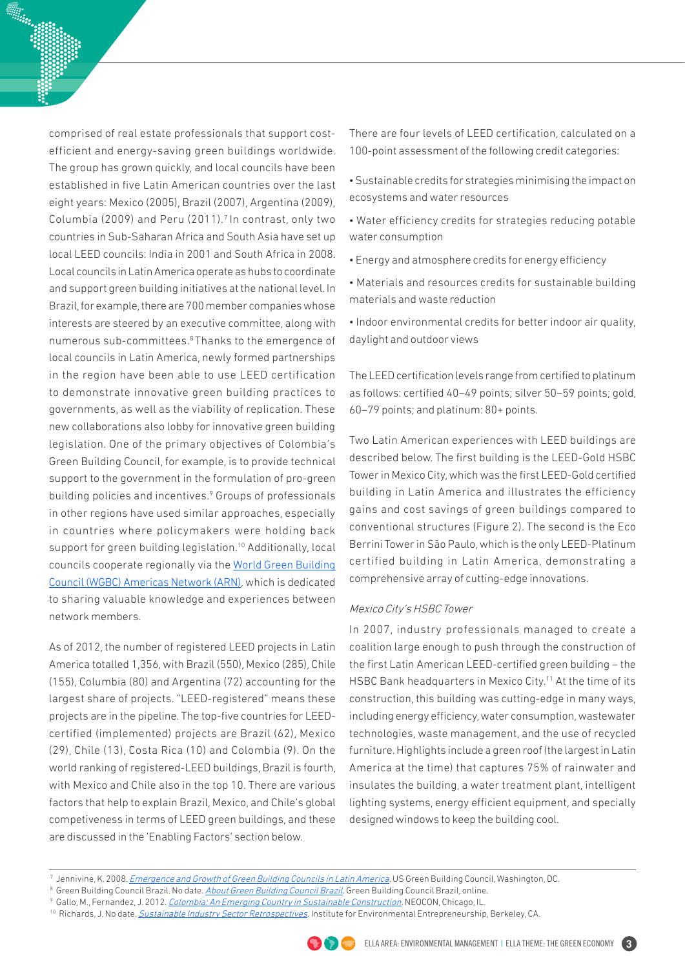comprised of real estate professionals that support costefficient and energy-saving green buildings worldwide. The group has grown quickly, and local councils have been established in five Latin American countries over the last eight years: Mexico (2005), Brazil (2007), Argentina (2009), Columbia (2009) and Peru (2011).<sup>7</sup> In contrast, only two countries in Sub-Saharan Africa and South Asia have set up local LEED councils: India in 2001 and South Africa in 2008. Local councils in Latin America operate as hubs to coordinate and support green building initiatives at the national level. In Brazil, for example, there are 700 member companies whose interests are steered by an executive committee, along with numerous sub-committees.8 Thanks to the emergence of local councils in Latin America, newly formed partnerships in the region have been able to use LEED certification to demonstrate innovative green building practices to governments, as well as the viability of replication. These new collaborations also lobby for innovative green building legislation. One of the primary objectives of Colombia's Green Building Council, for example, is to provide technical support to the government in the formulation of pro-green building policies and incentives.<sup>9</sup> Groups of professionals in other regions have used similar approaches, especially in countries where policymakers were holding back support for green building legislation.<sup>10</sup> Additionally, local councils cooperate regionally via the [World Green Building](http://www.worldgbc.org/regions/americas/)  [Council \(WGBC\) Americas Network \(ARN\)](http://www.worldgbc.org/regions/americas/), which is dedicated to sharing valuable knowledge and experiences between network members.

As of 2012, the number of registered LEED projects in Latin America totalled 1,356, with Brazil (550), Mexico (285), Chile (155), Columbia (80) and Argentina (72) accounting for the largest share of projects. "LEED-registered" means these projects are in the pipeline. The top-five countries for LEEDcertified (implemented) projects are Brazil (62), Mexico (29), Chile (13), Costa Rica (10) and Colombia (9). On the world ranking of registered-LEED buildings, Brazil is fourth, with Mexico and Chile also in the top 10. There are various factors that help to explain Brazil, Mexico, and Chile's global competiveness in terms of LEED green buildings, and these are discussed in the 'Enabling Factors' section below.

There are four levels of LEED certification, calculated on a 100-point assessment of the following credit categories:

- Sustainable credits for strategies minimising the impact on ecosystems and water resources
- Water efficiency credits for strategies reducing potable water consumption
- Energy and atmosphere credits for energy efficiency
- Materials and resources credits for sustainable building materials and waste reduction
- Indoor environmental credits for better indoor air quality, daylight and outdoor views

The LEED certification levels range from certified to platinum as follows: certified 40–49 points; silver 50–59 points; gold, 60–79 points; and platinum: 80+ points.

Two Latin American experiences with LEED buildings are described below. The first building is the LEED-Gold HSBC Tower in Mexico City, which was the first LEED-Gold certified building in Latin America and illustrates the efficiency gains and cost savings of green buildings compared to conventional structures (Figure 2). The second is the Eco Berrini Tower in São Paulo, which is the only LEED-Platinum certified building in Latin America, demonstrating a comprehensive array of cutting-edge innovations.

#### Mexico City's HSBC Tower

In 2007, industry professionals managed to create a coalition large enough to push through the construction of the first Latin American LEED-certified green building – the HSBC Bank headquarters in Mexico City.<sup>11</sup> At the time of its construction, this building was cutting-edge in many ways, including energy efficiency, water consumption, wastewater technologies, waste management, and the use of recycled furniture. Highlights include a green roof (the largest in Latin America at the time) that captures 75% of rainwater and insulates the building, a water treatment plant, intelligent lighting systems, energy efficient equipment, and specially designed windows to keep the building cool.

<sup>9</sup> Gallo, M., Fernandez, J. 2012. [Colombia: An Emerging Country in Sustainable Construction.](http://www.neocon.com/tasks/sites/Neocon/assets/pdf/presentations/T292%20%20Colombia_%20An%20Emerging%20Country%20in%20Sustainable%20Construction.pdf) NEOCON, Chicago, IL.

<sup>&</sup>lt;sup>10</sup> Richards, J. No date. *Sustainable Industry Sector Retrospectives*. Institute for Environmental Entrepreneurship, Berkeley, CA.



<sup>&</sup>lt;sup>7</sup> Jennivine, K. 2008. <u>*Emergence and Growth of Green Building Councils in Latin America.* US Green Building Council, Washington, DC.</u>

<sup>&</sup>lt;sup>8</sup>Green Building Council Brazil. No date. <u>Abo*ut Green Building Council Brazil.*</u> Green Building Council Brazil, online.<br>9 Gallo M. Fernandez, J. 2012, *Colombia: An Emerging Country in Sustainable Construction*, NEOCON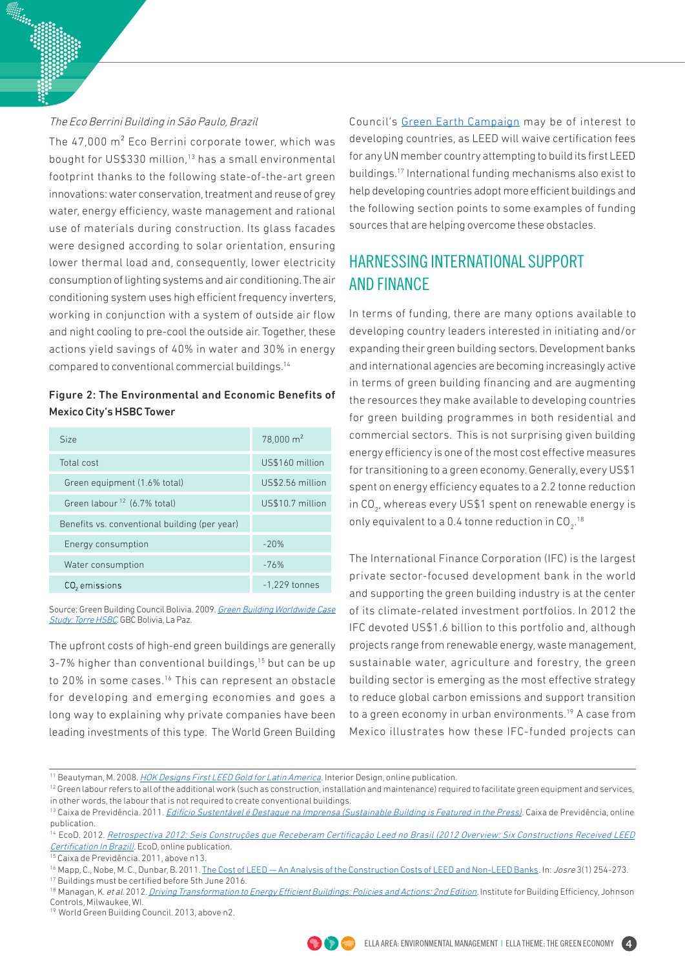#### The Eco Berrini Building in São Paulo, Brazil

The 47,000 m² Eco Berrini corporate tower, which was bought for US\$330 million,13 has a small environmental footprint thanks to the following state-of-the-art green innovations: water conservation, treatment and reuse of grey water, energy efficiency, waste management and rational use of materials during construction. Its glass facades were designed according to solar orientation, ensuring lower thermal load and, consequently, lower electricity consumption of lighting systems and air conditioning. The air conditioning system uses high efficient frequency inverters, working in conjunction with a system of outside air flow and night cooling to pre-cool the outside air. Together, these actions yield savings of 40% in water and 30% in energy compared to conventional commercial buildings.14

## Figure 2: The Environmental and Economic Benefits of Mexico City's HSBC Tower

| Size                                          | $78,000 \text{ m}^2$ |
|-----------------------------------------------|----------------------|
| Total cost                                    | US\$160 million      |
| Green equipment (1.6% total)                  | US\$2.56 million     |
| Green labour <sup>12</sup> (6.7% total)       | US\$10.7 million     |
| Benefits vs. conventional building (per year) |                      |
| Energy consumption                            | $-20%$               |
| Water consumption                             | $-76%$               |
| CO <sub>2</sub> emissions                     | $-1,229$ tonnes      |

Source: Green Building Council Bolivia. 2009. Green Building Worldwide Case [Study: Torre HSBC](http://www.gbcbolivia.org/wordpress/wp-content/uploads/2012/Caso_estudio1_LEED%20_Torre_HSBC.pdf). GBC Bolivia, La Paz.

The upfront costs of high-end green buildings are generally  $3-7%$  higher than conventional buildings,<sup>15</sup> but can be up to 20% in some cases.<sup>16</sup> This can represent an obstacle for developing and emerging economies and goes a long way to explaining why private companies have been leading investments of this type. The World Green Building

Council's [Green Earth Campaign](http://www.usgbc.org/sites/default/files/LEED%2520Earth%2520Rules%2520and%2520Regulations%2520FINAL%25207%252010%25202013%2520MC.pdftion-to-EE-Buildings.pdf) may be of interest to developing countries, as LEED will waive certification fees for any UN member country attempting to build its first LEED buildings.17 International funding mechanisms also exist to help developing countries adopt more efficient buildings and the following section points to some examples of funding sources that are helping overcome these obstacles.

## HARNESSING INTERNATIONAL SUPPORT AND FINANCE

In terms of funding, there are many options available to developing country leaders interested in initiating and/or expanding their green building sectors. Development banks and international agencies are becoming increasingly active in terms of green building financing and are augmenting the resources they make available to developing countries for green building programmes in both residential and commercial sectors. This is not surprising given building energy efficiency is one of the most cost effective measures for transitioning to a green economy. Generally, every US\$1 spent on energy efficiency equates to a 2.2 tonne reduction in CO $_{\textrm{\tiny{2^{\prime}}}}$  whereas every US\$1 spent on renewable energy is only equivalent to a 0.4 tonne reduction in CO $_2$ .<sup>18</sup>

The International Finance Corporation (IFC) is the largest private sector-focused development bank in the world and supporting the green building industry is at the center of its climate-related investment portfolios. In 2012 the IFC devoted US\$1.6 billion to this portfolio and, although projects range from renewable energy, waste management, sustainable water, agriculture and forestry, the green building sector is emerging as the most effective strategy to reduce global carbon emissions and support transition to a green economy in urban environments.<sup>19</sup> A case from Mexico illustrates how these IFC-funded projects can

15 Caixa de Previdência. 2011, above n13.

19 World Green Building Council. 2013, above n2.



<sup>&</sup>lt;sup>11</sup> Beautyman, M. 2008. [HOK Designs First LEED Gold for Latin America.](http://legacy.interiordesign.net/article/485405-HOK_Designs_First_LEED_Gold_for_Latin_America.php/) Interior Design, online publication.

 $12$  Green labour refers to all of the additional work (such as construction, installation and maintenance) required to facilitate green equipment and services, in other words, the labour that is not required to create conventional buildings.

<sup>&</sup>lt;sup>13</sup> Caixa de Previdência. 2011. *<u>Edifício Sustentável é Destaque na Imprensa (Sustainable Building is Featured in the Press)</u>. Caixa de Previdência, online* publication.

<sup>&</sup>lt;sup>14</sup> EcoD. 2012. Retrospectiva 2012: Seis Construções que Receberam Certificação Leed no Brasil (2012 Overview: Six Constructions Received LEED [Certification In Brazil\).](http://www.ecodesenvolvimento.org/posts/2012/dezembro/retrospectiva-2012-6-construcoes-que-receberam/popup_impressao) EcoD, online publication.

<sup>16</sup> Mapp, C., Nobe, M. C., Dunbar, B. 2011. The Cost of LEED - An Analysis of the Construction Costs of LEED and Non-LEED Banks. In: Josre 3(1) 254-273.

<sup>17</sup> Buildings must be certified before 5th June 2016.

<sup>&</sup>lt;sup>18</sup> Managan, K. et al. 2012. *Driving Transformation to Energy Efficient Buildings: Policies and Actions: 2nd Edition*. Institute for Building Efficiency, Johnson Controls, Milwaukee, WI.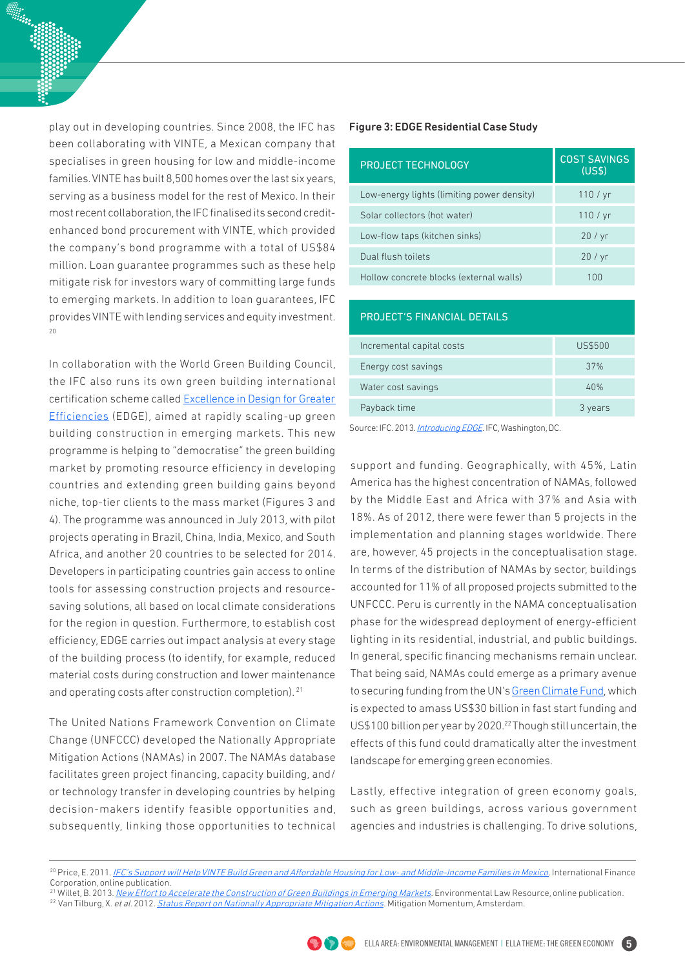play out in developing countries. Since 2008, the IFC has been collaborating with VINTE, a Mexican company that specialises in green housing for low and middle-income families. VINTE has built 8,500 homes over the last six years, serving as a business model for the rest of Mexico. In their most recent collaboration, the IFC finalised its second creditenhanced bond procurement with VINTE, which provided the company's bond programme with a total of US\$84 million. Loan guarantee programmes such as these help mitigate risk for investors wary of committing large funds to emerging markets. In addition to loan guarantees, IFC provides VINTE with lending services and equity investment.  $20$ 

In collaboration with the World Green Building Council, the IFC also runs its own green building international certification scheme called [Excellence in Design for Greater](http://www.ifc.org/wps/wcm/connect/907ed4004aa88a1bb49ef69e0dc67fc6/EDGE-Brochure.pdf%3FMOD%3DAJPERES)  [Efficiencies](http://www.ifc.org/wps/wcm/connect/907ed4004aa88a1bb49ef69e0dc67fc6/EDGE-Brochure.pdf%3FMOD%3DAJPERES) (EDGE), aimed at rapidly scaling-up green building construction in emerging markets. This new programme is helping to "democratise" the green building market by promoting resource efficiency in developing countries and extending green building gains beyond niche, top-tier clients to the mass market (Figures 3 and 4). The programme was announced in July 2013, with pilot projects operating in Brazil, China, India, Mexico, and South Africa, and another 20 countries to be selected for 2014. Developers in participating countries gain access to online tools for assessing construction projects and resourcesaving solutions, all based on local climate considerations for the region in question. Furthermore, to establish cost efficiency, EDGE carries out impact analysis at every stage of the building process (to identify, for example, reduced material costs during construction and lower maintenance and operating costs after construction completion). <sup>21</sup>

The United Nations Framework Convention on Climate Change (UNFCCC) developed the Nationally Appropriate Mitigation Actions (NAMAs) in 2007. The NAMAs database facilitates green project financing, capacity building, and/ or technology transfer in developing countries by helping decision-makers identify feasible opportunities and, subsequently, linking those opportunities to technical

#### Figure 3: EDGE Residential Case Study

| <b>PROJECT TECHNOLOGY</b>                  | <b>COST SAVINGS</b><br>(USS) |  |
|--------------------------------------------|------------------------------|--|
| Low-energy lights (limiting power density) | 110 / yr                     |  |
| Solar collectors (hot water)               | 110 / yr                     |  |
| Low-flow taps (kitchen sinks)              | 20/yr                        |  |
| Dual flush toilets                         | 20/yr                        |  |
| Hollow concrete blocks (external walls)    | 1 ( ) ( )                    |  |

| <b>PROJECT'S FINANCIAL DETAILS</b> |         |  |  |
|------------------------------------|---------|--|--|
| Incremental capital costs          | US\$500 |  |  |
| Energy cost savings                | 37%     |  |  |
| Water cost savings                 | 40%     |  |  |
| Payback time                       | 3 years |  |  |

Source: IFC. 2013. [Introducing EDGE.](http://www.ifc.org/wps/wcm/connect/907ed4004aa88a1bb49ef69e0dc67fc6/EDGE-Brochure.pdf%3FMOD%3DAJPERES) IFC, Washington, DC.

support and funding. Geographically, with 45%, Latin America has the highest concentration of NAMAs, followed by the Middle East and Africa with 37% and Asia with 18%. As of 2012, there were fewer than 5 projects in the implementation and planning stages worldwide. There are, however, 45 projects in the conceptualisation stage. In terms of the distribution of NAMAs by sector, buildings accounted for 11% of all proposed projects submitted to the UNFCCC. Peru is currently in the NAMA conceptualisation phase for the widespread deployment of energy-efficient lighting in its residential, industrial, and public buildings. In general, specific financing mechanisms remain unclear. That being said, NAMAs could emerge as a primary avenue to securing funding from the UN's [Green Climate Fund,](http://gcfund.net/about-the-fund/background.html) which is expected to amass US\$30 billion in fast start funding and US\$100 billion per year by 2020.<sup>22</sup> Though still uncertain, the effects of this fund could dramatically alter the investment landscape for emerging green economies.

Lastly, effective integration of green economy goals, such as green buildings, across various government agencies and industries is challenging. To drive solutions,

<sup>&</sup>lt;sup>21</sup> Willet, B. 2013. <u>New Effort to Accelerate the Construction of Green Buildings in Emerging Markets</u>. Environmental Law Resource, online publication. <sup>22</sup> Van Tilburg, X. et al. 2012. [Status Report on Nationally Appropriate Mitigation Actions.](http://www.ecofys.com/files/files/ecofys-ecn-2013-status-report-namas-update-june-2013.pdf) Mitigation Momentum, Amsterdam.



<sup>&</sup>lt;sup>20</sup> Price, E. 2011. [IFC's Support will Help VINTE Build Green and Affordable Housing for Low- and Middle-Income Families in Mexico.](http://www.ifc.org/wps/wcm/connect/industry_ext_content/ifc_external_corporate_site/industries/manufacturing%2Band%2Bservices/news/vinte) International Finance Corporation, online publication.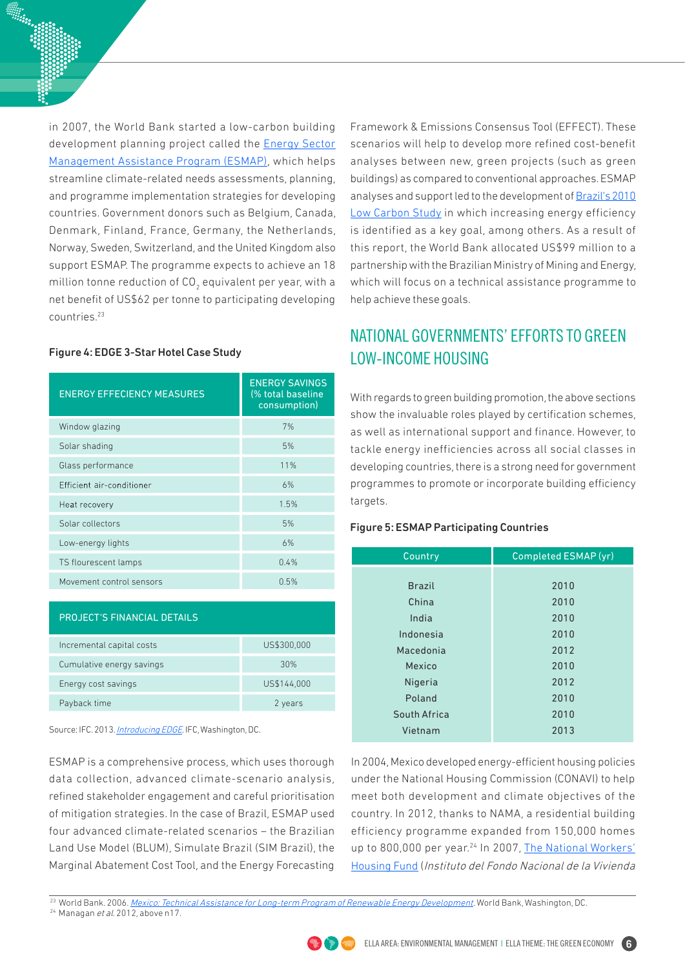in 2007, the World Bank started a low-carbon building development planning project called the **Energy Sector** [Management Assistance Program \(ESMAP\),](http://prod-http-80-800498448.us-east-1.elb.amazonaws.com/w/images/c/ce/ESMAP_LC_Future_Nov2012.pdf) which helps streamline climate-related needs assessments, planning, and programme implementation strategies for developing countries. Government donors such as Belgium, Canada, Denmark, Finland, France, Germany, the Netherlands, Norway, Sweden, Switzerland, and the United Kingdom also support ESMAP. The programme expects to achieve an 18 million tonne reduction of CO $_{_2}$  equivalent per year, with a net benefit of US\$62 per tonne to participating developing countries.23

#### Figure 4: EDGE 3-Star Hotel Case Study

| <b>ENERGY EFFECIENCY MEASURES</b> | <b>ENERGY SAVINGS</b><br>(% total baseline<br>consumption) |  |
|-----------------------------------|------------------------------------------------------------|--|
| Window glazing                    | 7%                                                         |  |
| Solar shading                     | 5%                                                         |  |
| Glass performance                 | 11%                                                        |  |
| Efficient air-conditioner         | 6%                                                         |  |
| Heat recovery                     | 1.5%                                                       |  |
| Solar collectors                  | 5%                                                         |  |
| Low-energy lights                 | 6%                                                         |  |
| TS flourescent lamps              | 0.4%                                                       |  |
| Movement control sensors          | 0.5%                                                       |  |

| <b>PROJECT'S FINANCIAL DETAILS</b> |             |
|------------------------------------|-------------|
| Incremental capital costs          | US\$300,000 |
| Cumulative energy savings          | 30%         |
| Energy cost savings                | US\$144,000 |
| Payback time                       | 2 years     |

Source: IFC. 2013. [Introducing EDGE.](http://www.ifc.org/wps/wcm/connect/907ed4004aa88a1bb49ef69e0dc67fc6/EDGE-Brochure.pdf%3FMOD%3DAJPERES) IFC, Washington, DC.

ESMAP is a comprehensive process, which uses thorough data collection, advanced climate-scenario analysis, refined stakeholder engagement and careful prioritisation of mitigation strategies. In the case of Brazil, ESMAP used four advanced climate-related scenarios – the Brazilian Land Use Model (BLUM), Simulate Brazil (SIM Brazil), the Marginal Abatement Cost Tool, and the Energy Forecasting

Framework & Emissions Consensus Tool (EFFECT). These scenarios will help to develop more refined cost-benefit analyses between new, green projects (such as green buildings) as compared to conventional approaches. ESMAP analyses and support led to the development of [Brazil's 2010](http://siteresources.worldbank.org/BRAZILEXTN/Resources/Brazil_LowcarbonStudy.pdf)  [Low Carbon Study](http://siteresources.worldbank.org/BRAZILEXTN/Resources/Brazil_LowcarbonStudy.pdf) in which increasing energy efficiency is identified as a key goal, among others. As a result of this report, the World Bank allocated US\$99 million to a partnership with the Brazilian Ministry of Mining and Energy, which will focus on a technical assistance programme to help achieve these goals.

# NATIONAL GOVERNMENTS' EFFORTS TO GREEN LOW-INCOME HOUSING

With regards to green building promotion, the above sections show the invaluable roles played by certification schemes, as well as international support and finance. However, to tackle energy inefficiencies across all social classes in developing countries, there is a strong need for government programmes to promote or incorporate building efficiency targets.

## Figure 5: ESMAP Participating Countries

| Country       | Completed ESMAP (yr) |
|---------------|----------------------|
|               |                      |
| <b>Brazil</b> | 2010                 |
| China         | 2010                 |
| India         | 2010                 |
| Indonesia     | 2010                 |
| Macedonia     | 2012                 |
| Mexico        | 2010                 |
| Nigeria       | 2012                 |
| Poland        | 2010                 |
| South Africa  | 2010                 |
| Vietnam       | 2013                 |

In 2004, Mexico developed energy-efficient housing policies under the National Housing Commission (CONAVI) to help meet both development and climate objectives of the country. In 2012, thanks to NAMA, a residential building efficiency programme expanded from 150,000 homes up to 800,000 per year.<sup>24</sup> In 2007, [The National Workers'](http://www.refworld.org/docid/485ba86e1e.html) [Housing Fund](http://www.refworld.org/docid/485ba86e1e.html) (Instituto del Fondo Nacional de la Vivienda

<sup>24</sup> Managan et al. 2012, above n17.



<sup>&</sup>lt;sup>23</sup> World Bank. 2006. [Mexico: Technical Assistance for Long-term Program of Renewable Energy Development.](http://www.esmap.org/sites/esmap.org/files/TR_09306MexicoTAFINALForWeb.pdf) World Bank, Washington, DC.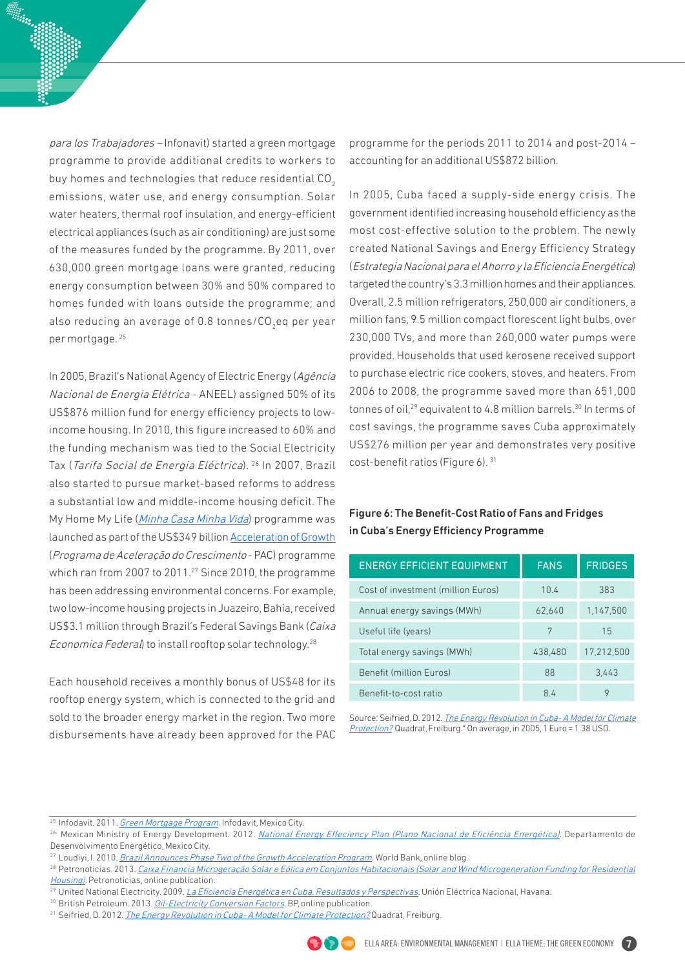para los Trabajadores – Infonavit) started a green mortgage programme to provide additional credits to workers to buy homes and technologies that reduce residential CO<sub>2</sub> emissions, water use, and energy consumption. Solar water heaters, thermal roof insulation, and energy-efficient electrical appliances (such as air conditioning) are just some of the measures funded by the programme. By 2011, over 630,000 green mortgage loans were granted, reducing energy consumption between 30% and 50% compared to homes funded with loans outside the programme; and also reducing an average of 0.8 tonnes/CO $_{\rm 2}$ eq per year per mortgage. 25

In 2005, Brazil's National Agency of Electric Energy (Agência Nacional de Energia Elétrica - ANEEL) assigned 50% of its US\$876 million fund for energy efficiency projects to lowincome housing. In 2010, this figure increased to 60% and the funding mechanism was tied to the Social Electricity Tax (Tarifa Social de Energia Eléctrica). 26 In 2007, Brazil also started to pursue market-based reforms to address a substantial low and middle-income housing deficit. The My Home My Life (*[Minha Casa Minha Vida](http://www.pac.gov.br/minha-casa-minha-vida)*) programme was launched as part of the US\$349 billion [Acceleration of Growth](http://www.pac.gov.br)  (Programa de Aceleração do Crescimento - PAC) programme which ran from 2007 to 2011.<sup>27</sup> Since 2010, the programme has been addressing environmental concerns. For example, two low-income housing projects in Juazeiro, Bahia, received US\$3.1 million through Brazil's Federal Savings Bank (Caixa Economica Federal) to install rooftop solar technology.<sup>28</sup>

Each household receives a monthly bonus of US\$48 for its rooftop energy system, which is connected to the grid and sold to the broader energy market in the region. Two more disbursements have already been approved for the PAC

programme for the periods 2011 to 2014 and post-2014 – accounting for an additional US\$872 billion.

In 2005, Cuba faced a supply-side energy crisis. The government identified increasing household efficiency as the most cost-effective solution to the problem. The newly created National Savings and Energy Efficiency Strategy (Estrategia Nacional para el Ahorro y la Eficiencia Energética) targeted the country's 3.3 million homes and their appliances. Overall, 2.5 million refrigerators, 250,000 air conditioners, a million fans, 9.5 million compact florescent light bulbs, over 230,000 TVs, and more than 260,000 water pumps were provided. Households that used kerosene received support to purchase electric rice cookers, stoves, and heaters. From 2006 to 2008, the programme saved more than 651,000 tonnes of oil,<sup>29</sup> equivalent to 4.8 million barrels.<sup>30</sup> In terms of cost savings, the programme saves Cuba approximately US\$276 million per year and demonstrates very positive cost-benefit ratios (Figure 6). 31

## Figure 6: The Benefit-Cost Ratio of Fans and Fridges in Cuba's Energy Efficiency Programme

| <b>ENERGY EFFICIENT EQUIPMENT</b>  | <b>FANS</b> | <b>FRIDGES</b> |
|------------------------------------|-------------|----------------|
| Cost of investment (million Euros) | 10.4        | 383            |
| Annual energy savings (MWh)        | 62,640      | 1,147,500      |
| Useful life (years)                | 7           | 15             |
| Total energy savings (MWh)         | 438,480     | 17,212,500     |
| Benefit (million Euros)            | 88          | 3,443          |
| Benefit-to-cost ratio              | 84          |                |

Source: Seifried, D. 2012. The Energy Revolution in Cuba- A Model for Climate [Protection?](http://www.oe2.de/fileadmin/user_upload/download/Energierevolution_Cuba_eng.pdf) Quadrat, Freiburg.\* On average, in 2005, 1 Euro = 1.38 USD.

<sup>&</sup>lt;sup>31</sup> Seifried, D. 2012. *The Energy Revolution in Cuba-A Model for Climate Protection?* Quadrat, Freiburg.



<sup>&</sup>lt;sup>25</sup> Infodavit. 2011. *[Green Mortgage Program](http://www.ecpamericas.org/data/files/Initiatives/energy_efficiency_working_group/eewg_mexico_workshop/infonavit.pdf)*. Infodavit, Mexico City.

<sup>&</sup>lt;sup>26</sup> Mexican Ministry of Energy Development. 2012. [National Energy Effeciency Plan \(Plano Nacional de Eficiência Energética\)](http://www.orcamentofederal.gov.br/projeto-esplanada-sustentavel/pasta-para-arquivar-dados-do-pes/Plano_Nacional_de_Eficiencia_Energetica.pdf). Departamento de Desenvolvimento Energético, Mexico City.

<sup>&</sup>lt;sup>27</sup> Loudiyi, I. 2010. [Brazil Announces Phase Two of the Growth Acceleration Program.](http://blogs.worldbank.org/growth/brazil-announces-phase-two-growth-acceleration-program) World Bank, online blog.

<sup>&</sup>lt;sup>28</sup> Petronoticias. 2013. Caixa Financia Microgeração Solar e Eólica em Conjuntos Habitacionais (Solar and Wind Microgeneration Funding for Residential [Housing\)](http://www.petronoticias.com.br/archives/33207%3Fgoback%3D.gde_3834711_member_263364147%23%2521). Petronoticias, online publication.

<sup>&</sup>lt;sup>29</sup> United National Electricity. 2009. La *Eficiencia Energética en Cuba. Resultados y Perspectivas*. Unión Eléctrica Nacional, Havana.

<sup>&</sup>lt;sup>30</sup> British Petroleum. 2013. *Oil-Electricity Conversion Factors*. BP, online publication.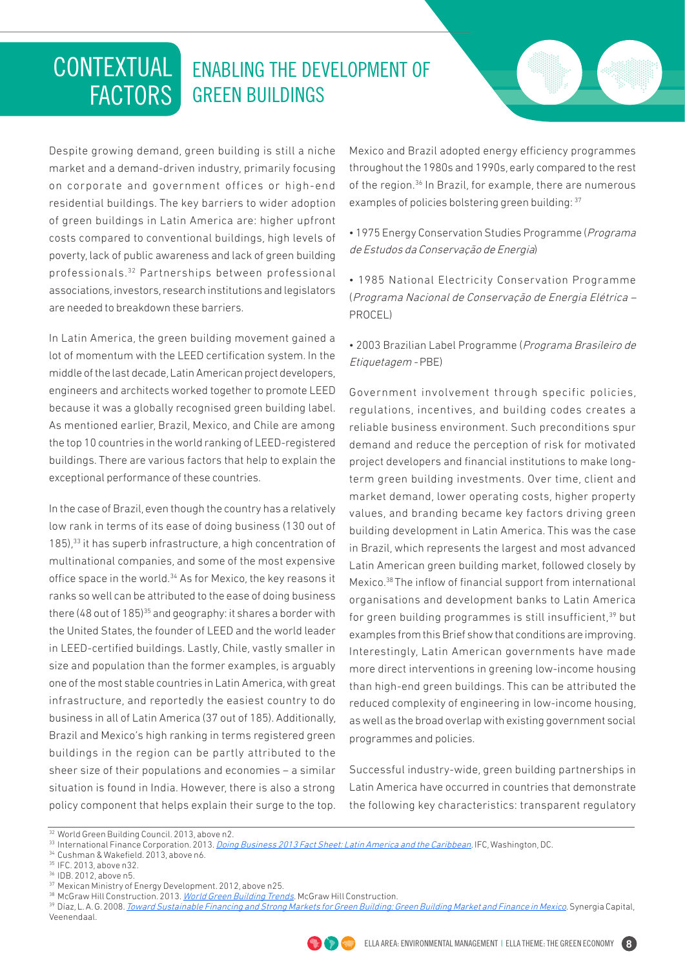## ENABLING THE DEVELOPMENT OF GREEN BUILDINGS CONTEXTUAL **FACTORS**

Despite growing demand, green building is still a niche market and a demand-driven industry, primarily focusing on corporate and government offices or high-end residential buildings. The key barriers to wider adoption of green buildings in Latin America are: higher upfront costs compared to conventional buildings, high levels of poverty, lack of public awareness and lack of green building professionals.32 Partnerships between professional associations, investors, research institutions and legislators are needed to breakdown these barriers.

In Latin America, the green building movement gained a lot of momentum with the LEED certification system. In the middle of the last decade, Latin American project developers, engineers and architects worked together to promote LEED because it was a globally recognised green building label. As mentioned earlier, Brazil, Mexico, and Chile are among the top 10 countries in the world ranking of LEED-registered buildings. There are various factors that help to explain the exceptional performance of these countries.

In the case of Brazil, even though the country has a relatively low rank in terms of its ease of doing business (130 out of 185),<sup>33</sup> it has superb infrastructure, a high concentration of multinational companies, and some of the most expensive office space in the world.<sup>34</sup> As for Mexico, the key reasons it ranks so well can be attributed to the ease of doing business there  $(48$  out of  $185)$ <sup>35</sup> and geography: it shares a border with the United States, the founder of LEED and the world leader in LEED-certified buildings. Lastly, Chile, vastly smaller in size and population than the former examples, is arguably one of the most stable countries in Latin America, with great infrastructure, and reportedly the easiest country to do business in all of Latin America (37 out of 185). Additionally, Brazil and Mexico's high ranking in terms registered green buildings in the region can be partly attributed to the sheer size of their populations and economies – a similar situation is found in India. However, there is also a strong policy component that helps explain their surge to the top.

Mexico and Brazil adopted energy efficiency programmes throughout the 1980s and 1990s, early compared to the rest of the region.<sup>36</sup> In Brazil, for example, there are numerous examples of policies bolstering green building: 37

- 1975 Energy Conservation Studies Programme (Programa de Estudos da Conservação de Energia)
- 1985 National Electricity Conservation Programme (Programa Nacional de Conservação de Energia Elétrica – PROCEL)

• 2003 Brazilian Label Programme (Programa Brasileiro de Etiquetagem - PBE)

Government involvement through specific policies, regulations, incentives, and building codes creates a reliable business environment. Such preconditions spur demand and reduce the perception of risk for motivated project developers and financial institutions to make longterm green building investments. Over time, client and market demand, lower operating costs, higher property values, and branding became key factors driving green building development in Latin America. This was the case in Brazil, which represents the largest and most advanced Latin American green building market, followed closely by Mexico.38 The inflow of financial support from international organisations and development banks to Latin America for green building programmes is still insufficient,<sup>39</sup> but examples from this Brief show that conditions are improving. Interestingly, Latin American governments have made more direct interventions in greening low-income housing than high-end green buildings. This can be attributed the reduced complexity of engineering in low-income housing, as well as the broad overlap with existing government social programmes and policies.

Successful industry-wide, green building partnerships in Latin America have occurred in countries that demonstrate the following key characteristics: transparent regulatory

<sup>&</sup>lt;sup>39</sup> Díaz, L. A. G. 2008. *[Toward Sustainable Financing and Strong Markets for Green Building: Green Building Market and Finance in Mexico](https://www.google.com/url?sa=t&rct=j&q=&esrc=s&source=web&cd=1&cad=rja&ved=0CC4QFjAA&url=http%3A%2F%2Fwww.greenbuildingfc.com%2FHome%2FViewResearchDoc.aspx%3Fid%3D31&ei=IV9AUuu7L-TAiwK9ooG4DQ&usg=AFQjCNH-vvwon_oEfxdBUsYxW95fZKDdig&sig2=CYHy-JHl1_40evWqYF9VUg&bvm=bv.52434380,d.cGE). Synergia Capital,* Veenendaal.



<sup>&</sup>lt;sup>32</sup> World Green Building Council. 2013, above n2.

<sup>&</sup>lt;sup>33</sup> International Finance Corporation[.](http://www.doingbusiness.org/~/media/GIAWB/Doing%20Business/Documents/Fact-Sheets/DB13/DB13LACFactSheetEnglish.pdf) 2013. <u>Doing Business 2013 Fact Sheet: Latin America and the Caribbean</u>. IFC, Washington, DC.<br><sup>34</sup> Cushman & Wakefield. 2013, above n6. <br><sup>35</sup> IFC. 2013, above n32. 36 IDB. 2012, abo

<sup>38</sup>McGraw Hill Construction. 2013. World Green Building Trends. McGraw Hill Construction.